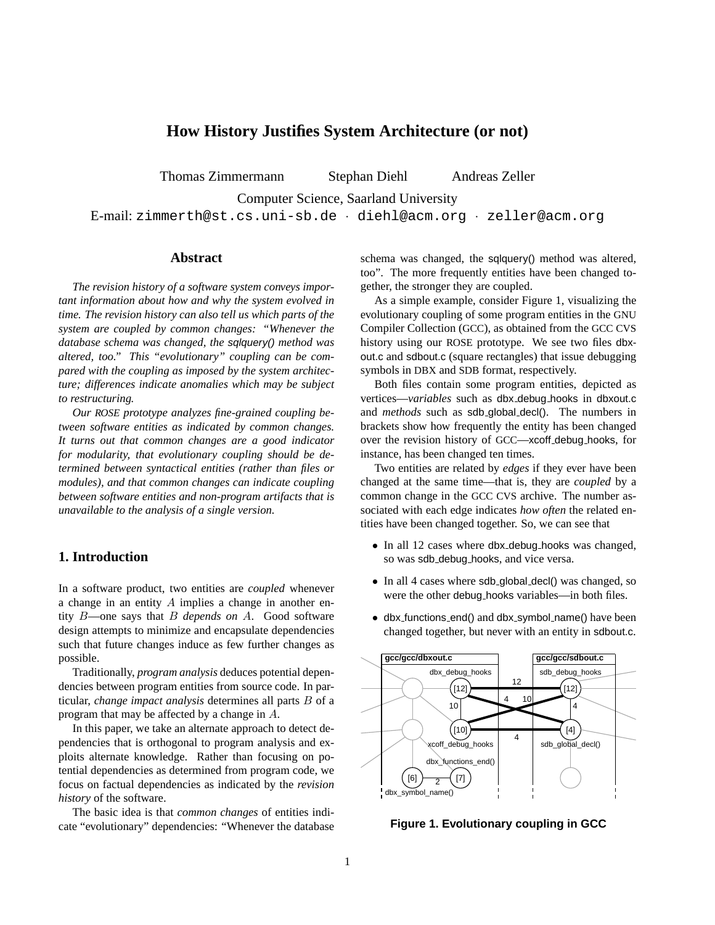# **How History Justifies System Architecture (or not)**

Thomas Zimmermann Stephan Diehl Andreas Zeller

Computer Science, Saarland University

E-mail: zimmerth@st.cs.uni-sb.de · diehl@acm.org · zeller@acm.org

# **Abstract**

*The revision history of a software system conveys important information about how and why the system evolved in time. The revision history can also tell us which parts of the system are coupled by common changes: "Whenever the database schema was changed, the* sqlquery() *method was altered, too." This "evolutionary" coupling can be compared with the coupling as imposed by the system architecture; differences indicate anomalies which may be subject to restructuring.*

*Our ROSE prototype analyzes fine-grained coupling between software entities as indicated by common changes. It turns out that common changes are a good indicator for modularity, that evolutionary coupling should be determined between syntactical entities (rather than files or modules), and that common changes can indicate coupling between software entities and non-program artifacts that is unavailable to the analysis of a single version.*

# **1. Introduction**

In a software product, two entities are *coupled* whenever a change in an entity A implies a change in another entity B—one says that B *depends on* A. Good software design attempts to minimize and encapsulate dependencies such that future changes induce as few further changes as possible.

Traditionally, *program analysis* deduces potential dependencies between program entities from source code. In particular, *change impact analysis* determines all parts B of a program that may be affected by a change in A.

In this paper, we take an alternate approach to detect dependencies that is orthogonal to program analysis and exploits alternate knowledge. Rather than focusing on potential dependencies as determined from program code, we focus on factual dependencies as indicated by the *revision history* of the software.

The basic idea is that *common changes* of entities indicate "evolutionary" dependencies: "Whenever the database schema was changed, the sqlquery() method was altered, too". The more frequently entities have been changed together, the stronger they are coupled.

As a simple example, consider Figure 1, visualizing the evolutionary coupling of some program entities in the GNU Compiler Collection (GCC), as obtained from the GCC CVS history using our ROSE prototype. We see two files dbxout.c and sdbout.c (square rectangles) that issue debugging symbols in DBX and SDB format, respectively.

Both files contain some program entities, depicted as vertices—*variables* such as dbx debug hooks in dbxout.c and *methods* such as sdb\_global\_decl(). The numbers in brackets show how frequently the entity has been changed over the revision history of GCC—xcoff debug hooks, for instance, has been changed ten times.

Two entities are related by *edges* if they ever have been changed at the same time—that is, they are *coupled* by a common change in the GCC CVS archive. The number associated with each edge indicates *how often* the related entities have been changed together. So, we can see that

- In all 12 cases where dbx\_debug\_hooks was changed, so was sdb debug hooks, and vice versa.
- In all 4 cases where sdb\_qlobal\_decl() was changed, so were the other debug hooks variables—in both files.
- dbx\_functions\_end() and dbx\_symbol\_name() have been changed together, but never with an entity in sdbout.c.



**Figure 1. Evolutionary coupling in GCC**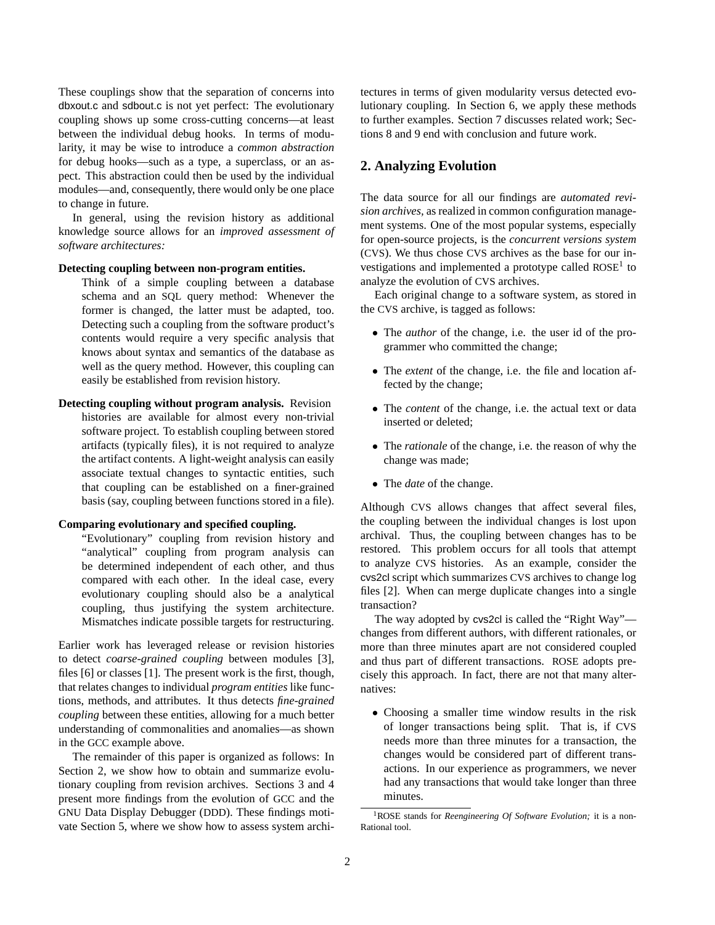These couplings show that the separation of concerns into dbxout.c and sdbout.c is not yet perfect: The evolutionary coupling shows up some cross-cutting concerns—at least between the individual debug hooks. In terms of modularity, it may be wise to introduce a *common abstraction* for debug hooks—such as a type, a superclass, or an aspect. This abstraction could then be used by the individual modules—and, consequently, there would only be one place to change in future.

In general, using the revision history as additional knowledge source allows for an *improved assessment of software architectures:*

### **Detecting coupling between non-program entities.**

Think of a simple coupling between a database schema and an SQL query method: Whenever the former is changed, the latter must be adapted, too. Detecting such a coupling from the software product's contents would require a very specific analysis that knows about syntax and semantics of the database as well as the query method. However, this coupling can easily be established from revision history.

**Detecting coupling without program analysis.** Revision histories are available for almost every non-trivial software project. To establish coupling between stored artifacts (typically files), it is not required to analyze the artifact contents. A light-weight analysis can easily associate textual changes to syntactic entities, such that coupling can be established on a finer-grained basis (say, coupling between functions stored in a file).

### **Comparing evolutionary and specified coupling.**

"Evolutionary" coupling from revision history and "analytical" coupling from program analysis can be determined independent of each other, and thus compared with each other. In the ideal case, every evolutionary coupling should also be a analytical coupling, thus justifying the system architecture. Mismatches indicate possible targets for restructuring.

Earlier work has leveraged release or revision histories to detect *coarse-grained coupling* between modules [3], files [6] or classes [1]. The present work is the first, though, that relates changes to individual *program entities* like functions, methods, and attributes. It thus detects *fine-grained coupling* between these entities, allowing for a much better understanding of commonalities and anomalies—as shown in the GCC example above.

The remainder of this paper is organized as follows: In Section 2, we show how to obtain and summarize evolutionary coupling from revision archives. Sections 3 and 4 present more findings from the evolution of GCC and the GNU Data Display Debugger (DDD). These findings motivate Section 5, where we show how to assess system architectures in terms of given modularity versus detected evolutionary coupling. In Section 6, we apply these methods to further examples. Section 7 discusses related work; Sections 8 and 9 end with conclusion and future work.

# **2. Analyzing Evolution**

The data source for all our findings are *automated revision archives,* as realized in common configuration management systems. One of the most popular systems, especially for open-source projects, is the *concurrent versions system* (CVS). We thus chose CVS archives as the base for our investigations and implemented a prototype called  $ROSE<sup>1</sup>$  to analyze the evolution of CVS archives.

Each original change to a software system, as stored in the CVS archive, is tagged as follows:

- The *author* of the change, i.e. the user id of the programmer who committed the change;
- The *extent* of the change, i.e. the file and location affected by the change;
- The *content* of the change, i.e. the actual text or data inserted or deleted;
- The *rationale* of the change, i.e. the reason of why the change was made;
- The *date* of the change.

Although CVS allows changes that affect several files, the coupling between the individual changes is lost upon archival. Thus, the coupling between changes has to be restored. This problem occurs for all tools that attempt to analyze CVS histories. As an example, consider the cvs2cl script which summarizes CVS archives to change log files [2]. When can merge duplicate changes into a single transaction?

The way adopted by cvs2cl is called the "Right Way" changes from different authors, with different rationales, or more than three minutes apart are not considered coupled and thus part of different transactions. ROSE adopts precisely this approach. In fact, there are not that many alternatives:

• Choosing a smaller time window results in the risk of longer transactions being split. That is, if CVS needs more than three minutes for a transaction, the changes would be considered part of different transactions. In our experience as programmers, we never had any transactions that would take longer than three minutes.

<sup>1</sup>ROSE stands for *Reengineering Of Software Evolution;* it is a non-Rational tool.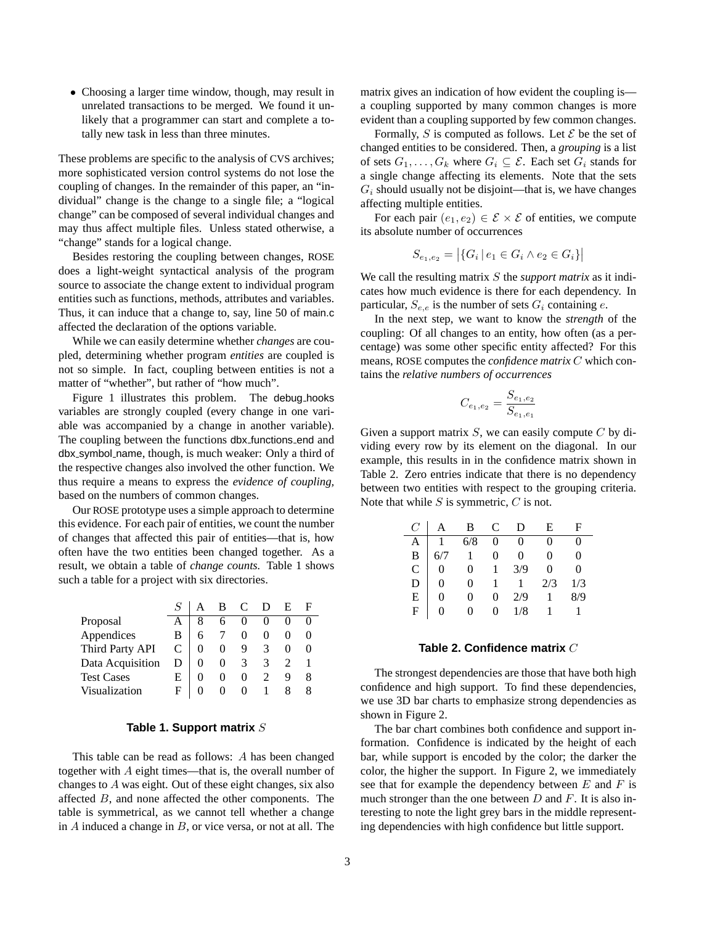• Choosing a larger time window, though, may result in unrelated transactions to be merged. We found it unlikely that a programmer can start and complete a totally new task in less than three minutes.

These problems are specific to the analysis of CVS archives; more sophisticated version control systems do not lose the coupling of changes. In the remainder of this paper, an "individual" change is the change to a single file; a "logical change" can be composed of several individual changes and may thus affect multiple files. Unless stated otherwise, a "change" stands for a logical change.

Besides restoring the coupling between changes, ROSE does a light-weight syntactical analysis of the program source to associate the change extent to individual program entities such as functions, methods, attributes and variables. Thus, it can induce that a change to, say, line 50 of main.c affected the declaration of the options variable.

While we can easily determine whether *changes* are coupled, determining whether program *entities* are coupled is not so simple. In fact, coupling between entities is not a matter of "whether", but rather of "how much".

Figure 1 illustrates this problem. The debug hooks variables are strongly coupled (every change in one variable was accompanied by a change in another variable). The coupling between the functions dbx functions end and dbx\_symbol\_name, though, is much weaker: Only a third of the respective changes also involved the other function. We thus require a means to express the *evidence of coupling,* based on the numbers of common changes.

Our ROSE prototype uses a simple approach to determine this evidence. For each pair of entities, we count the number of changes that affected this pair of entities—that is, how often have the two entities been changed together. As a result, we obtain a table of *change counts.* Table 1 shows such a table for a project with six directories.

|                   |   |  |  | F        |
|-------------------|---|--|--|----------|
| Proposal          |   |  |  | $\Omega$ |
| Appendices        | в |  |  | $\Omega$ |
| Third Party API   |   |  |  | $\Omega$ |
| Data Acquisition  | D |  |  |          |
| <b>Test Cases</b> | E |  |  |          |
| Visualization     | F |  |  |          |

#### **Table 1. Support matrix** S

This table can be read as follows: A has been changed together with A eight times—that is, the overall number of changes to A was eight. Out of these eight changes, six also affected B, and none affected the other components. The table is symmetrical, as we cannot tell whether a change in  $A$  induced a change in  $B$ , or vice versa, or not at all. The

matrix gives an indication of how evident the coupling is a coupling supported by many common changes is more evident than a coupling supported by few common changes.

Formally, S is computed as follows. Let  $\mathcal E$  be the set of changed entities to be considered. Then, a *grouping* is a list of sets  $G_1, \ldots, G_k$  where  $G_i \subseteq \mathcal{E}$ . Each set  $G_i$  stands for a single change affecting its elements. Note that the sets  $G_i$  should usually not be disjoint—that is, we have changes affecting multiple entities.

For each pair  $(e_1, e_2) \in \mathcal{E} \times \mathcal{E}$  of entities, we compute its absolute number of occurrences

$$
S_{e_1, e_2} = |\{G_i \mid e_1 \in G_i \land e_2 \in G_i\}|
$$

We call the resulting matrix S the *support matrix* as it indicates how much evidence is there for each dependency. In particular,  $S_{e,e}$  is the number of sets  $G_i$  containing e.

In the next step, we want to know the *strength* of the coupling: Of all changes to an entity, how often (as a percentage) was some other specific entity affected? For this means, ROSE computes the *confidence matrix* C which contains the *relative numbers of occurrences*

$$
C_{e_1,e_2}=\frac{S_{e_1,e_2}}{S_{e_1,e_1}}
$$

Given a support matrix  $S$ , we can easily compute  $C$  by dividing every row by its element on the diagonal. In our example, this results in in the confidence matrix shown in Table 2. Zero entries indicate that there is no dependency between two entities with respect to the grouping criteria. Note that while  $S$  is symmetric,  $C$  is not.

| $\overline{C}$ | $\mathbf{A}$                                      | $\mathbf{B}$   | $\mathbf C$    | $\mathbf{D}$   | E              | F         |
|----------------|---------------------------------------------------|----------------|----------------|----------------|----------------|-----------|
| $\mathbf{A}$   | $\sqrt{1}$                                        | 6/8            | $\Omega$       | $\overline{0}$ | $\Omega$       | 0         |
|                | $\begin{array}{c c} B & 6/7 \\ C & 0 \end{array}$ | $\mathbf{1}^-$ | $\overline{0}$ | $\overline{0}$ | $\Omega$       | $\theta$  |
|                |                                                   | $\overline{0}$ | $\mathbf{1}$   | 3/9            | $\Omega$       | $\Omega$  |
|                | $D \begin{bmatrix} 0 \\ 0 \end{bmatrix}$          | $\mathbf{0}$   |                | $1 \quad 1$    | 2/3            | 1/3       |
| E              | $\theta$                                          | $\Omega$       | 0              | 2/9            | $\overline{1}$ | 8/9       |
| F              | $\Omega$                                          | $\Omega$       | $\Omega$       | 1/8            | $\mathbf{1}$   | $\vert$ 1 |

#### **Table 2. Confidence matrix** C

The strongest dependencies are those that have both high confidence and high support. To find these dependencies, we use 3D bar charts to emphasize strong dependencies as shown in Figure 2.

The bar chart combines both confidence and support information. Confidence is indicated by the height of each bar, while support is encoded by the color; the darker the color, the higher the support. In Figure 2, we immediately see that for example the dependency between  $E$  and  $F$  is much stronger than the one between  $D$  and  $F$ . It is also interesting to note the light grey bars in the middle representing dependencies with high confidence but little support.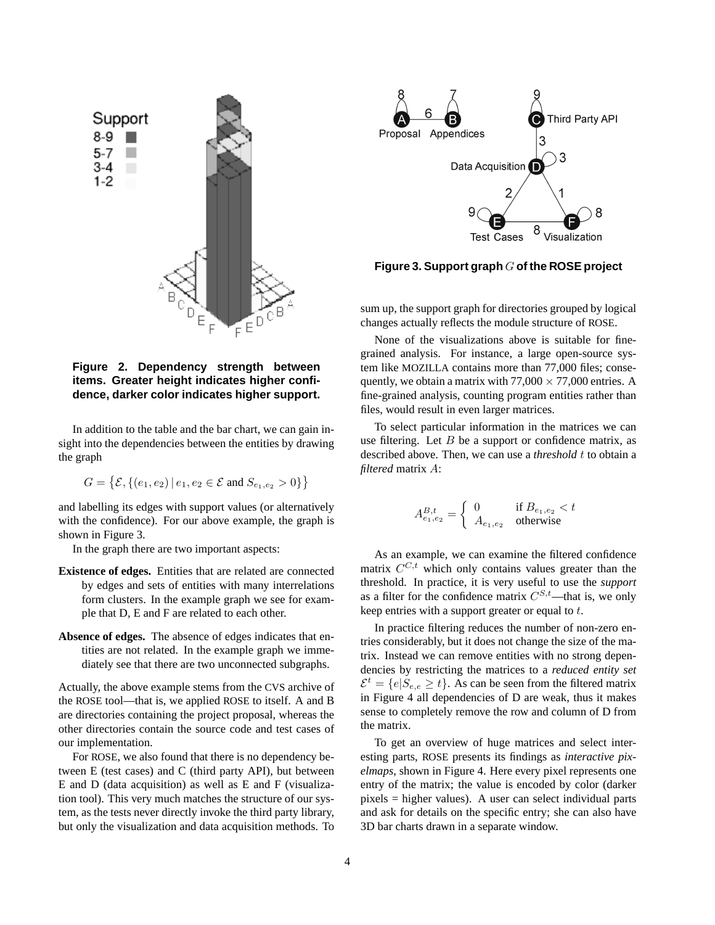

**Figure 2. Dependency strength between items. Greater height indicates higher confidence, darker color indicates higher support.**

In addition to the table and the bar chart, we can gain insight into the dependencies between the entities by drawing the graph

$$
G = \{ \mathcal{E}, \{ (e_1, e_2) \mid e_1, e_2 \in \mathcal{E} \text{ and } S_{e_1, e_2} > 0 \} \}
$$

and labelling its edges with support values (or alternatively with the confidence). For our above example, the graph is shown in Figure 3.

In the graph there are two important aspects:

- **Existence of edges.** Entities that are related are connected by edges and sets of entities with many interrelations form clusters. In the example graph we see for example that D, E and F are related to each other.
- Absence of edges. The absence of edges indicates that entities are not related. In the example graph we immediately see that there are two unconnected subgraphs.

Actually, the above example stems from the CVS archive of the ROSE tool—that is, we applied ROSE to itself. A and B are directories containing the project proposal, whereas the other directories contain the source code and test cases of our implementation.

For ROSE, we also found that there is no dependency between E (test cases) and C (third party API), but between E and D (data acquisition) as well as E and F (visualization tool). This very much matches the structure of our system, as the tests never directly invoke the third party library, but only the visualization and data acquisition methods. To



**Figure 3. Support graph** G **of the ROSE project**

sum up, the support graph for directories grouped by logical changes actually reflects the module structure of ROSE.

None of the visualizations above is suitable for finegrained analysis. For instance, a large open-source system like MOZILLA contains more than 77,000 files; consequently, we obtain a matrix with  $77,000 \times 77,000$  entries. A fine-grained analysis, counting program entities rather than files, would result in even larger matrices.

To select particular information in the matrices we can use filtering. Let  $B$  be a support or confidence matrix, as described above. Then, we can use a *threshold* t to obtain a *filtered* matrix A:

$$
A_{e_1,e_2}^{B,t} = \begin{cases} 0 & \text{if } B_{e_1,e_2} < t \\ A_{e_1,e_2} & \text{otherwise} \end{cases}
$$

As an example, we can examine the filtered confidence matrix  $C^{C,t}$  which only contains values greater than the threshold. In practice, it is very useful to use the *support* as a filter for the confidence matrix  $C^{S,t}$ —that is, we only keep entries with a support greater or equal to t.

In practice filtering reduces the number of non-zero entries considerably, but it does not change the size of the matrix. Instead we can remove entities with no strong dependencies by restricting the matrices to a *reduced entity set*  $\mathcal{E}^t = \{e | S_{e,e} \geq t\}.$  As can be seen from the filtered matrix in Figure 4 all dependencies of D are weak, thus it makes sense to completely remove the row and column of D from the matrix.

To get an overview of huge matrices and select interesting parts, ROSE presents its findings as *interactive pixelmaps*, shown in Figure 4. Here every pixel represents one entry of the matrix; the value is encoded by color (darker pixels = higher values). A user can select individual parts and ask for details on the specific entry; she can also have 3D bar charts drawn in a separate window.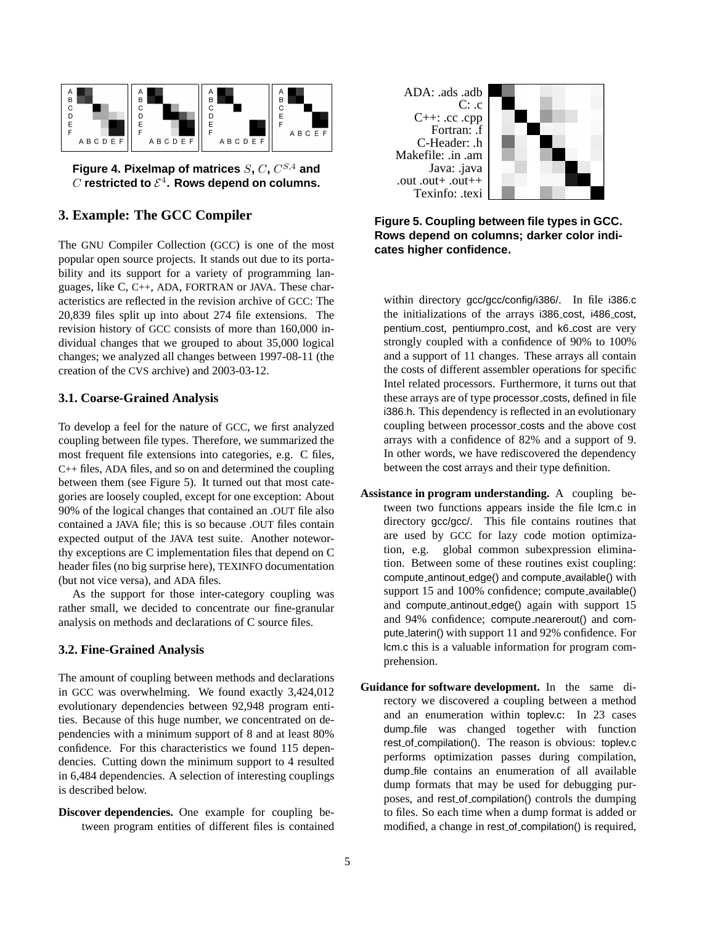



# **3. Example: The GCC Compiler**

The GNU Compiler Collection (GCC) is one of the most popular open source projects. It stands out due to its portability and its support for a variety of programming languages, like C, C++, ADA, FORTRAN or JAVA. These characteristics are reflected in the revision archive of GCC: The 20,839 files split up into about 274 file extensions. The revision history of GCC consists of more than 160,000 individual changes that we grouped to about 35,000 logical changes; we analyzed all changes between 1997-08-11 (the creation of the CVS archive) and 2003-03-12.

### **3.1. Coarse-Grained Analysis**

To develop a feel for the nature of GCC, we first analyzed coupling between file types. Therefore, we summarized the most frequent file extensions into categories, e.g. C files, C++ files, ADA files, and so on and determined the coupling between them (see Figure 5). It turned out that most categories are loosely coupled, except for one exception: About 90% of the logical changes that contained an .OUT file also contained a JAVA file; this is so because .OUT files contain expected output of the JAVA test suite. Another noteworthy exceptions are C implementation files that depend on C header files (no big surprise here), TEXINFO documentation (but not vice versa), and ADA files.

As the support for those inter-category coupling was rather small, we decided to concentrate our fine-granular analysis on methods and declarations of C source files.

### **3.2. Fine-Grained Analysis**

The amount of coupling between methods and declarations in GCC was overwhelming. We found exactly 3,424,012 evolutionary dependencies between 92,948 program entities. Because of this huge number, we concentrated on dependencies with a minimum support of 8 and at least 80% confidence. For this characteristics we found 115 dependencies. Cutting down the minimum support to 4 resulted in 6,484 dependencies. A selection of interesting couplings is described below.

**Discover dependencies.** One example for coupling between program entities of different files is contained



**Figure 5. Coupling between file types in GCC. Rows depend on columns; darker color indicates higher confidence.**

within directory gcc/gcc/config/i386/. In file i386.c the initializations of the arrays i386 cost, i486 cost, pentium cost, pentiumpro cost, and k6 cost are very strongly coupled with a confidence of 90% to 100% and a support of 11 changes. These arrays all contain the costs of different assembler operations for specific Intel related processors. Furthermore, it turns out that these arrays are of type processor costs, defined in file i386.h. This dependency is reflected in an evolutionary coupling between processor costs and the above cost arrays with a confidence of 82% and a support of 9. In other words, we have rediscovered the dependency between the cost arrays and their type definition.

- **Assistance in program understanding.** A coupling between two functions appears inside the file lcm.c in directory gcc/gcc/. This file contains routines that are used by GCC for lazy code motion optimization, e.g. global common subexpression elimination. Between some of these routines exist coupling: compute antinout edge() and compute available() with support 15 and 100% confidence; compute available() and compute antinout edge() again with support 15 and 94% confidence; compute nearerout() and compute laterin() with support 11 and 92% confidence. For lcm.c this is a valuable information for program comprehension.
- **Guidance for software development.** In the same directory we discovered a coupling between a method and an enumeration within toplev.c: In 23 cases dump file was changed together with function rest of compilation(). The reason is obvious: topley.c performs optimization passes during compilation, dump file contains an enumeration of all available dump formats that may be used for debugging purposes, and rest of compilation() controls the dumping to files. So each time when a dump format is added or modified, a change in rest of compilation() is required,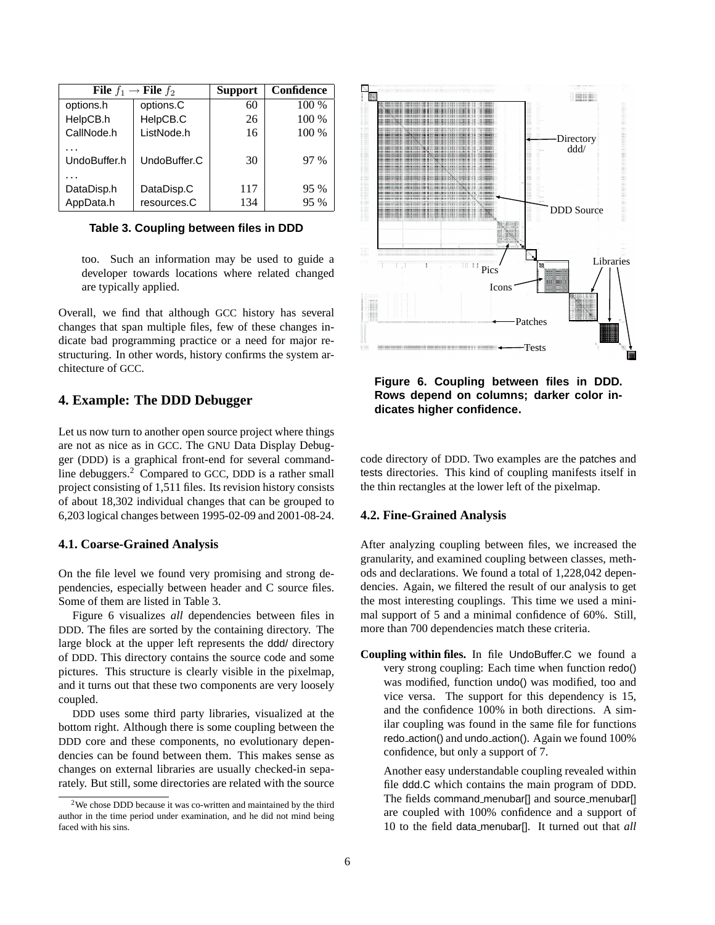|              | File $f_1 \rightarrow$ File $f_2$ | <b>Support</b> | Confidence |
|--------------|-----------------------------------|----------------|------------|
| options.h    | options.C                         | 60             | 100 %      |
| HelpCB.h     | HelpCB.C                          | 26             | 100 %      |
| CallNode.h   | ListNode.h                        | 16             | 100 %      |
| UndoBuffer.h | UndoBuffer.C                      | 30             | 97 %       |
| DataDisp.h   | DataDisp.C                        | 117            | 95 %       |
| AppData.h    | resources.C                       | 134            | 95 %       |

**Table 3. Coupling between files in DDD**

too. Such an information may be used to guide a developer towards locations where related changed are typically applied.

Overall, we find that although GCC history has several changes that span multiple files, few of these changes indicate bad programming practice or a need for major restructuring. In other words, history confirms the system architecture of GCC.

# **4. Example: The DDD Debugger**

Let us now turn to another open source project where things are not as nice as in GCC. The GNU Data Display Debugger (DDD) is a graphical front-end for several commandline debuggers.<sup>2</sup> Compared to GCC, DDD is a rather small project consisting of 1,511 files. Its revision history consists of about 18,302 individual changes that can be grouped to 6,203 logical changes between 1995-02-09 and 2001-08-24.

### **4.1. Coarse-Grained Analysis**

On the file level we found very promising and strong dependencies, especially between header and C source files. Some of them are listed in Table 3.

Figure 6 visualizes *all* dependencies between files in DDD. The files are sorted by the containing directory. The large block at the upper left represents the ddd/ directory of DDD. This directory contains the source code and some pictures. This structure is clearly visible in the pixelmap, and it turns out that these two components are very loosely coupled.

DDD uses some third party libraries, visualized at the bottom right. Although there is some coupling between the DDD core and these components, no evolutionary dependencies can be found between them. This makes sense as changes on external libraries are usually checked-in separately. But still, some directories are related with the source



**Figure 6. Coupling between files in DDD. Rows depend on columns; darker color indicates higher confidence.**

code directory of DDD. Two examples are the patches and tests directories. This kind of coupling manifests itself in the thin rectangles at the lower left of the pixelmap.

### **4.2. Fine-Grained Analysis**

After analyzing coupling between files, we increased the granularity, and examined coupling between classes, methods and declarations. We found a total of 1,228,042 dependencies. Again, we filtered the result of our analysis to get the most interesting couplings. This time we used a minimal support of 5 and a minimal confidence of 60%. Still, more than 700 dependencies match these criteria.

**Coupling within files.** In file UndoBuffer.C we found a very strong coupling: Each time when function redo() was modified, function undo() was modified, too and vice versa. The support for this dependency is 15, and the confidence 100% in both directions. A similar coupling was found in the same file for functions redo action() and undo action(). Again we found 100% confidence, but only a support of 7.

Another easy understandable coupling revealed within file ddd.C which contains the main program of DDD. The fields command\_menubar[] and source\_menubar[] are coupled with 100% confidence and a support of 10 to the field data menubar[]. It turned out that *all*

 $2$ We chose DDD because it was co-written and maintained by the third author in the time period under examination, and he did not mind being faced with his sins.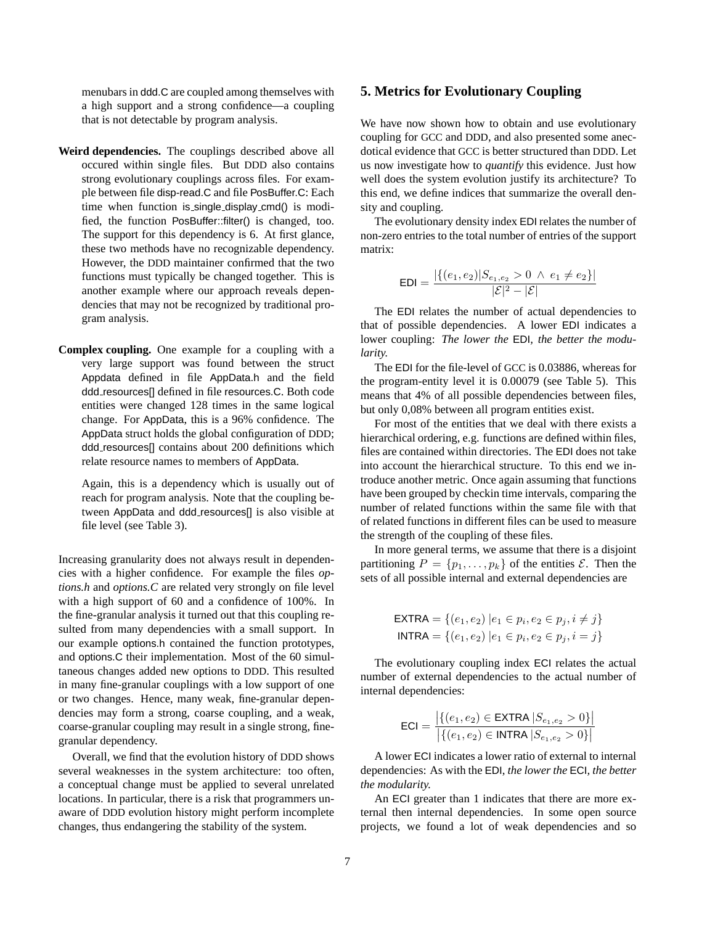menubars in ddd.C are coupled among themselves with a high support and a strong confidence—a coupling that is not detectable by program analysis.

- **Weird dependencies.** The couplings described above all occured within single files. But DDD also contains strong evolutionary couplings across files. For example between file disp-read.C and file PosBuffer.C: Each time when function is single display cmd() is modified, the function PosBuffer::filter() is changed, too. The support for this dependency is 6. At first glance, these two methods have no recognizable dependency. However, the DDD maintainer confirmed that the two functions must typically be changed together. This is another example where our approach reveals dependencies that may not be recognized by traditional program analysis.
- **Complex coupling.** One example for a coupling with a very large support was found between the struct Appdata defined in file AppData.h and the field ddd resources[] defined in file resources.C. Both code entities were changed 128 times in the same logical change. For AppData, this is a 96% confidence. The AppData struct holds the global configuration of DDD; ddd resources[] contains about 200 definitions which relate resource names to members of AppData.

Again, this is a dependency which is usually out of reach for program analysis. Note that the coupling between AppData and ddd resources[] is also visible at file level (see Table 3).

Increasing granularity does not always result in dependencies with a higher confidence. For example the files *options.h* and *options.C* are related very strongly on file level with a high support of 60 and a confidence of 100%. In the fine-granular analysis it turned out that this coupling resulted from many dependencies with a small support. In our example options.h contained the function prototypes, and options.C their implementation. Most of the 60 simultaneous changes added new options to DDD. This resulted in many fine-granular couplings with a low support of one or two changes. Hence, many weak, fine-granular dependencies may form a strong, coarse coupling, and a weak, coarse-granular coupling may result in a single strong, finegranular dependency.

Overall, we find that the evolution history of DDD shows several weaknesses in the system architecture: too often, a conceptual change must be applied to several unrelated locations. In particular, there is a risk that programmers unaware of DDD evolution history might perform incomplete changes, thus endangering the stability of the system.

# **5. Metrics for Evolutionary Coupling**

We have now shown how to obtain and use evolutionary coupling for GCC and DDD, and also presented some anecdotical evidence that GCC is better structured than DDD. Let us now investigate how to *quantify* this evidence. Just how well does the system evolution justify its architecture? To this end, we define indices that summarize the overall density and coupling.

The evolutionary density index EDI relates the number of non-zero entries to the total number of entries of the support matrix:

$$
EDI = \frac{|\{(e_1, e_2) | S_{e_1, e_2} > 0 \land e_1 \neq e_2\}|}{|\mathcal{E}|^2 - |\mathcal{E}|}
$$

The EDI relates the number of actual dependencies to that of possible dependencies. A lower EDI indicates a lower coupling: *The lower the* EDI*, the better the modularity.*

The EDI for the file-level of GCC is 0.03886, whereas for the program-entity level it is 0.00079 (see Table 5). This means that 4% of all possible dependencies between files, but only 0,08% between all program entities exist.

For most of the entities that we deal with there exists a hierarchical ordering, e.g. functions are defined within files, files are contained within directories. The EDI does not take into account the hierarchical structure. To this end we introduce another metric. Once again assuming that functions have been grouped by checkin time intervals, comparing the number of related functions within the same file with that of related functions in different files can be used to measure the strength of the coupling of these files.

In more general terms, we assume that there is a disjoint partitioning  $P = \{p_1, \ldots, p_k\}$  of the entities  $\mathcal{E}$ . Then the sets of all possible internal and external dependencies are

EXTRA = {
$$
(e_1, e_2) | e_1 \in p_i, e_2 \in p_j, i \neq j
$$
}

\nINTRA = { $(e_1, e_2) | e_1 \in p_i, e_2 \in p_j, i = j$ }

The evolutionary coupling index ECI relates the actual number of external dependencies to the actual number of internal dependencies:

$$
ECI = \frac{|\{(e_1, e_2) \in \text{EXTRA} | S_{e_1, e_2} > 0\}|}{|\{(e_1, e_2) \in \text{INTRA} | S_{e_1, e_2} > 0\}|}
$$

A lower ECI indicates a lower ratio of external to internal dependencies: As with the EDI, *the lower the* ECI*, the better the modularity.*

An ECI greater than 1 indicates that there are more external then internal dependencies. In some open source projects, we found a lot of weak dependencies and so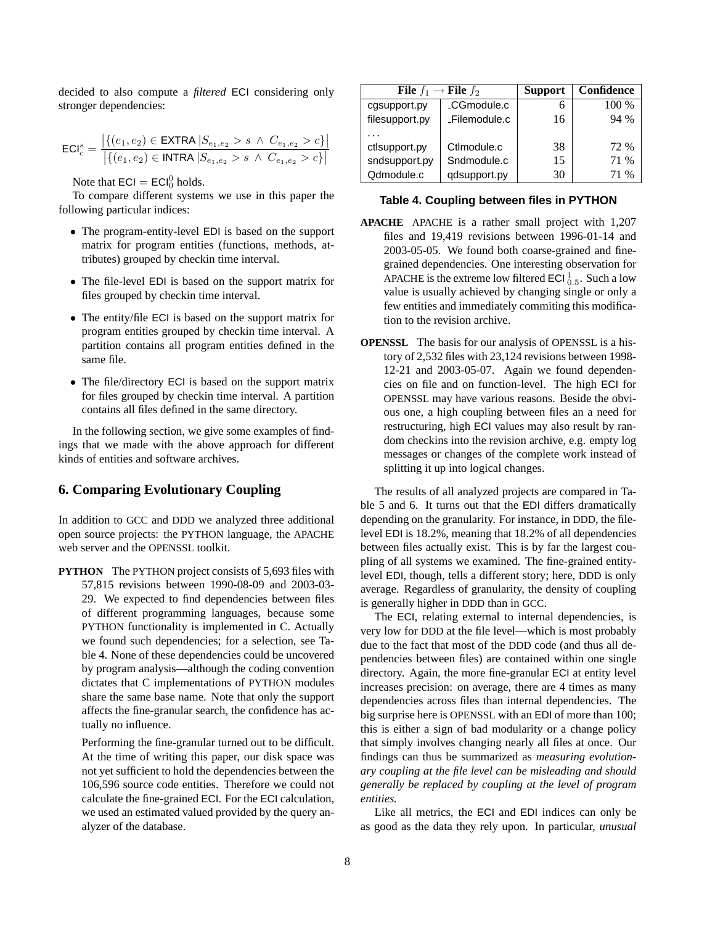decided to also compute a *filtered* ECI considering only stronger dependencies:

$$
ECI_c^s = \frac{|\{(e_1, e_2) \in \text{EXTRA} | S_{e_1, e_2} > s \land C_{e_1, e_2} > c\}|}{|\{(e_1, e_2) \in \text{INTRA} | S_{e_1, e_2} > s \land C_{e_1, e_2} > c\}|}
$$

Note that  $ECI = ECI_0^0$  holds.

To compare different systems we use in this paper the following particular indices:

- The program-entity-level EDI is based on the support matrix for program entities (functions, methods, attributes) grouped by checkin time interval.
- The file-level EDI is based on the support matrix for files grouped by checkin time interval.
- The entity/file ECI is based on the support matrix for program entities grouped by checkin time interval. A partition contains all program entities defined in the same file.
- The file/directory ECI is based on the support matrix for files grouped by checkin time interval. A partition contains all files defined in the same directory.

In the following section, we give some examples of findings that we made with the above approach for different kinds of entities and software archives.

# **6. Comparing Evolutionary Coupling**

In addition to GCC and DDD we analyzed three additional open source projects: the PYTHON language, the APACHE web server and the OPENSSL toolkit.

**PYTHON** The PYTHON project consists of 5,693 files with 57,815 revisions between 1990-08-09 and 2003-03- 29. We expected to find dependencies between files of different programming languages, because some PYTHON functionality is implemented in C. Actually we found such dependencies; for a selection, see Table 4. None of these dependencies could be uncovered by program analysis—although the coding convention dictates that C implementations of PYTHON modules share the same base name. Note that only the support affects the fine-granular search, the confidence has actually no influence.

Performing the fine-granular turned out to be difficult. At the time of writing this paper, our disk space was not yet sufficient to hold the dependencies between the 106,596 source code entities. Therefore we could not calculate the fine-grained ECI. For the ECI calculation, we used an estimated valued provided by the query analyzer of the database.

| File $f_1 \rightarrow$ File $f_2$ |               | <b>Support</b> | Confidence |  |
|-----------------------------------|---------------|----------------|------------|--|
| cgsupport.py                      | _CGmodule.c   |                | $100\%$    |  |
| filesupport.py                    | _Filemodule.c | 16             | 94 %       |  |
|                                   |               |                |            |  |
| ctlsupport.py                     | Ctlmodule.c   | 38             | 72%        |  |
| sndsupport.py                     | Sndmodule.c   | 15             | 71 %       |  |
| Qdmodule.c                        | qdsupport.py  | 30             | 71 %       |  |

**Table 4. Coupling between files in PYTHON**

- **APACHE** APACHE is a rather small project with 1,207 files and 19,419 revisions between 1996-01-14 and 2003-05-05. We found both coarse-grained and finegrained dependencies. One interesting observation for APACHE is the extreme low filtered  $\textsf{ECI}_{0.5}^1$ . Such a low value is usually achieved by changing single or only a few entities and immediately commiting this modification to the revision archive.
- **OPENSSL** The basis for our analysis of OPENSSL is a history of 2,532 files with 23,124 revisions between 1998- 12-21 and 2003-05-07. Again we found dependencies on file and on function-level. The high ECI for OPENSSL may have various reasons. Beside the obvious one, a high coupling between files an a need for restructuring, high ECI values may also result by random checkins into the revision archive, e.g. empty log messages or changes of the complete work instead of splitting it up into logical changes.

The results of all analyzed projects are compared in Table 5 and 6. It turns out that the EDI differs dramatically depending on the granularity. For instance, in DDD, the filelevel EDI is 18.2%, meaning that 18.2% of all dependencies between files actually exist. This is by far the largest coupling of all systems we examined. The fine-grained entitylevel EDI, though, tells a different story; here, DDD is only average. Regardless of granularity, the density of coupling is generally higher in DDD than in GCC.

The ECI, relating external to internal dependencies, is very low for DDD at the file level—which is most probably due to the fact that most of the DDD code (and thus all dependencies between files) are contained within one single directory. Again, the more fine-granular ECI at entity level increases precision: on average, there are 4 times as many dependencies across files than internal dependencies. The big surprise here is OPENSSL with an EDI of more than 100; this is either a sign of bad modularity or a change policy that simply involves changing nearly all files at once. Our findings can thus be summarized as *measuring evolutionary coupling at the file level can be misleading and should generally be replaced by coupling at the level of program entities.*

Like all metrics, the ECI and EDI indices can only be as good as the data they rely upon. In particular, *unusual*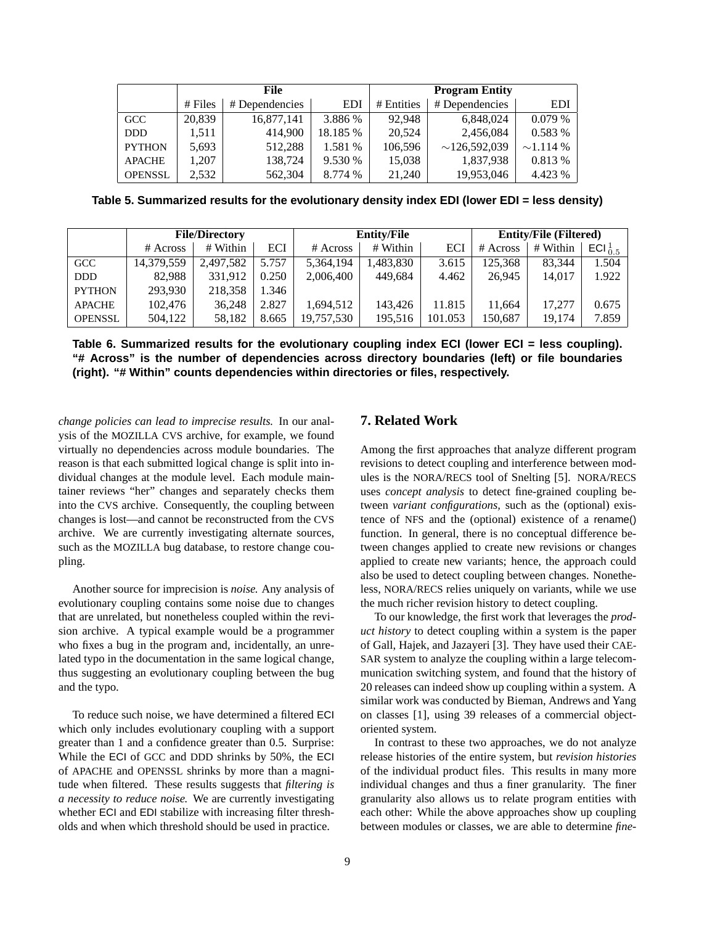|                | <b>File</b> |                |          | <b>Program Entity</b> |                    |                |  |
|----------------|-------------|----------------|----------|-----------------------|--------------------|----------------|--|
|                | $#$ Files   | # Dependencies | EDI      | # Entities            | # Dependencies     | <b>EDI</b>     |  |
| <b>GCC</b>     | 20,839      | 16,877,141     | 3.886 %  | 92.948                | 6,848,024          | 0.079%         |  |
| <b>DDD</b>     | 1.511       | 414,900        | 18.185 % | 20,524                | 2,456,084          | 0.583%         |  |
| <b>PYTHON</b>  | 5,693       | 512,288        | 1.581 %  | 106,596               | $\sim$ 126,592,039 | $\sim$ 1.114 % |  |
| <b>APACHE</b>  | 1.207       | 138.724        | 9.530 %  | 15.038                | 1,837,938          | 0.813 %        |  |
| <b>OPENSSL</b> | 2,532       | 562,304        | 8.774 %  | 21,240                | 19,953,046         | 4.423 %        |  |

**Table 5. Summarized results for the evolutionary density index EDI (lower EDI = less density)**

|                | <b>File/Directory</b> |           |       | <b>Entity/File</b>   |          |         | <b>Entity/File (Filtered)</b> |          |                |
|----------------|-----------------------|-----------|-------|----------------------|----------|---------|-------------------------------|----------|----------------|
|                | # Across              | # Within  | ECI   | $# \, \text{Across}$ | # Within | ECI     | # Across                      | # Within | ECI $_{0.5}^1$ |
| <b>GCC</b>     | 14.379.559            | 2.497.582 | 5.757 | 5,364,194            | .483.830 | 3.615   | 125.368                       | 83.344   | 1.504          |
| <b>DDD</b>     | 82.988                | 331.912   | 0.250 | 2,006,400            | 449,684  | 4.462   | 26,945                        | 14,017   | 1.922          |
| <b>PYTHON</b>  | 293.930               | 218,358   | 1.346 |                      |          |         |                               |          |                |
| <b>APACHE</b>  | 102,476               | 36.248    | 2.827 | 1.694.512            | 143.426  | 11.815  | 11.664                        | 17.277   | 0.675          |
| <b>OPENSSL</b> | 504,122               | 58,182    | 8.665 | 19,757,530           | 195,516  | 101.053 | 150.687                       | 19,174   | 7.859          |

**Table 6. Summarized results for the evolutionary coupling index ECI (lower ECI = less coupling). "# Across" is the number of dependencies across directory boundaries (left) or file boundaries (right). "# Within" counts dependencies within directories or files, respectively.**

*change policies can lead to imprecise results.* In our analysis of the MOZILLA CVS archive, for example, we found virtually no dependencies across module boundaries. The reason is that each submitted logical change is split into individual changes at the module level. Each module maintainer reviews "her" changes and separately checks them into the CVS archive. Consequently, the coupling between changes is lost—and cannot be reconstructed from the CVS archive. We are currently investigating alternate sources, such as the MOZILLA bug database, to restore change coupling.

Another source for imprecision is *noise.* Any analysis of evolutionary coupling contains some noise due to changes that are unrelated, but nonetheless coupled within the revision archive. A typical example would be a programmer who fixes a bug in the program and, incidentally, an unrelated typo in the documentation in the same logical change, thus suggesting an evolutionary coupling between the bug and the typo.

To reduce such noise, we have determined a filtered ECI which only includes evolutionary coupling with a support greater than 1 and a confidence greater than 0.5. Surprise: While the ECI of GCC and DDD shrinks by 50%, the ECI of APACHE and OPENSSL shrinks by more than a magnitude when filtered. These results suggests that *filtering is a necessity to reduce noise.* We are currently investigating whether ECI and EDI stabilize with increasing filter thresholds and when which threshold should be used in practice.

# **7. Related Work**

Among the first approaches that analyze different program revisions to detect coupling and interference between modules is the NORA/RECS tool of Snelting [5]. NORA/RECS uses *concept analysis* to detect fine-grained coupling between *variant configurations,* such as the (optional) existence of NFS and the (optional) existence of a rename() function. In general, there is no conceptual difference between changes applied to create new revisions or changes applied to create new variants; hence, the approach could also be used to detect coupling between changes. Nonetheless, NORA/RECS relies uniquely on variants, while we use the much richer revision history to detect coupling.

To our knowledge, the first work that leverages the *product history* to detect coupling within a system is the paper of Gall, Hajek, and Jazayeri [3]. They have used their CAE-SAR system to analyze the coupling within a large telecommunication switching system, and found that the history of 20 releases can indeed show up coupling within a system. A similar work was conducted by Bieman, Andrews and Yang on classes [1], using 39 releases of a commercial objectoriented system.

In contrast to these two approaches, we do not analyze release histories of the entire system, but *revision histories* of the individual product files. This results in many more individual changes and thus a finer granularity. The finer granularity also allows us to relate program entities with each other: While the above approaches show up coupling between modules or classes, we are able to determine *fine-*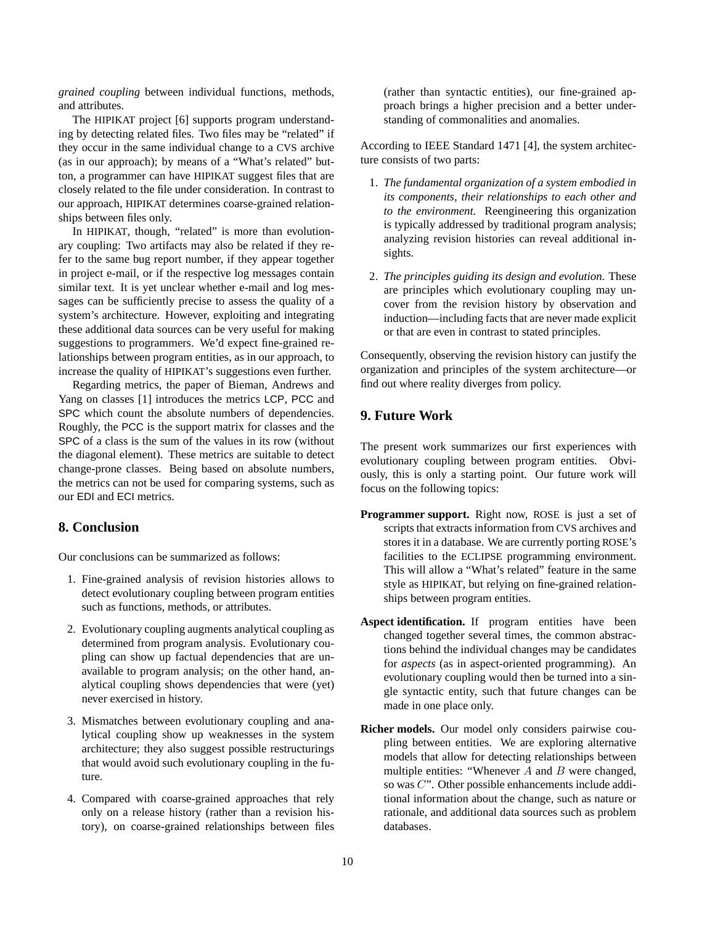*grained coupling* between individual functions, methods, and attributes.

The HIPIKAT project [6] supports program understanding by detecting related files. Two files may be "related" if they occur in the same individual change to a CVS archive (as in our approach); by means of a "What's related" button, a programmer can have HIPIKAT suggest files that are closely related to the file under consideration. In contrast to our approach, HIPIKAT determines coarse-grained relationships between files only.

In HIPIKAT, though, "related" is more than evolutionary coupling: Two artifacts may also be related if they refer to the same bug report number, if they appear together in project e-mail, or if the respective log messages contain similar text. It is yet unclear whether e-mail and log messages can be sufficiently precise to assess the quality of a system's architecture. However, exploiting and integrating these additional data sources can be very useful for making suggestions to programmers. We'd expect fine-grained relationships between program entities, as in our approach, to increase the quality of HIPIKAT's suggestions even further.

Regarding metrics, the paper of Bieman, Andrews and Yang on classes [1] introduces the metrics LCP, PCC and SPC which count the absolute numbers of dependencies. Roughly, the PCC is the support matrix for classes and the SPC of a class is the sum of the values in its row (without the diagonal element). These metrics are suitable to detect change-prone classes. Being based on absolute numbers, the metrics can not be used for comparing systems, such as our EDI and ECI metrics.

# **8. Conclusion**

Our conclusions can be summarized as follows:

- 1. Fine-grained analysis of revision histories allows to detect evolutionary coupling between program entities such as functions, methods, or attributes.
- 2. Evolutionary coupling augments analytical coupling as determined from program analysis. Evolutionary coupling can show up factual dependencies that are unavailable to program analysis; on the other hand, analytical coupling shows dependencies that were (yet) never exercised in history.
- 3. Mismatches between evolutionary coupling and analytical coupling show up weaknesses in the system architecture; they also suggest possible restructurings that would avoid such evolutionary coupling in the future.
- 4. Compared with coarse-grained approaches that rely only on a release history (rather than a revision history), on coarse-grained relationships between files

(rather than syntactic entities), our fine-grained approach brings a higher precision and a better understanding of commonalities and anomalies.

According to IEEE Standard 1471 [4], the system architecture consists of two parts:

- 1. *The fundamental organization of a system embodied in its components, their relationships to each other and to the environment.* Reengineering this organization is typically addressed by traditional program analysis; analyzing revision histories can reveal additional insights.
- 2. *The principles guiding its design and evolution.* These are principles which evolutionary coupling may uncover from the revision history by observation and induction—including facts that are never made explicit or that are even in contrast to stated principles.

Consequently, observing the revision history can justify the organization and principles of the system architecture—or find out where reality diverges from policy.

# **9. Future Work**

The present work summarizes our first experiences with evolutionary coupling between program entities. Obviously, this is only a starting point. Our future work will focus on the following topics:

- **Programmer support.** Right now, ROSE is just a set of scripts that extracts information from CVS archives and stores it in a database. We are currently porting ROSE's facilities to the ECLIPSE programming environment. This will allow a "What's related" feature in the same style as HIPIKAT, but relying on fine-grained relationships between program entities.
- Aspect identification. If program entities have been changed together several times, the common abstractions behind the individual changes may be candidates for *aspects* (as in aspect-oriented programming). An evolutionary coupling would then be turned into a single syntactic entity, such that future changes can be made in one place only.
- **Richer models.** Our model only considers pairwise coupling between entities. We are exploring alternative models that allow for detecting relationships between multiple entities: "Whenever  $A$  and  $B$  were changed, so was C". Other possible enhancements include additional information about the change, such as nature or rationale, and additional data sources such as problem databases.